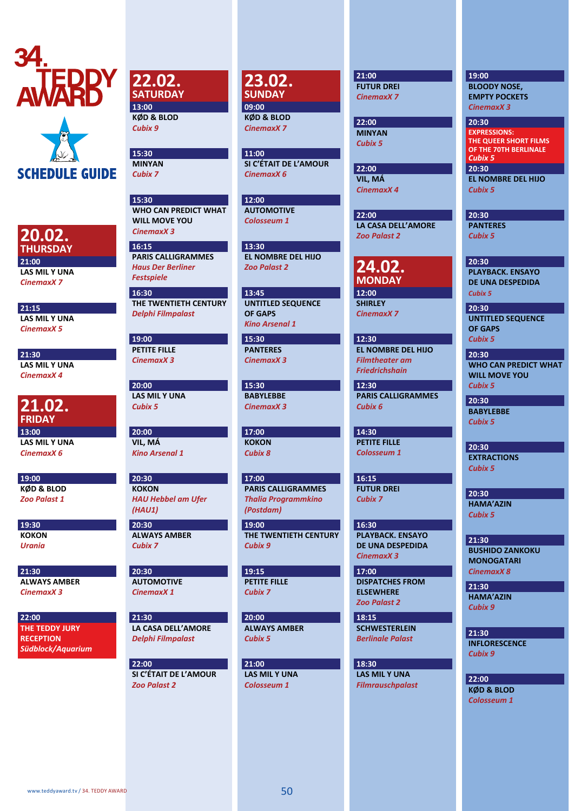



## **20.02. THURSDAY**

**21:00 LAS MIL Y UNA**  *CinemaxX 7*

**21:15 LAS MIL Y UNA** *CinemaxX 5* 

**21:30 LAS MIL Y UNA** *CinemaxX 4*

**21.02. FRIDAY 13:00 LAS MIL Y UNA** *CinemaxX 6* 

**19:00 KØD & BLOD**  *Zoo Palast 1*

**19:30 KOKON**  *Urania*

**21:30 ALWAYS AMBER**  *CinemaxX 3*

**22:00 THE TEDDY JURY RECEPTION** *Südblock/Aquarium*  **22.02. SATURDAY 13:00**

**KØD & BLOD**  *Cubix 9*

**15:30 MINYAN**  *Cubix 7*

**15:30 WHO CAN PREDICT WHAT WILL MOVE YOU**  *CinemaxX 3*

**16:15 PARIS CALLIGRAMMES** *Haus Der Berliner Festspiele*

**16:30 THE TWENTIETH CENTURY**  *Delphi Filmpalast*

**19:00 PETITE FILLE**  *CinemaxX 3*

**20:00 LAS MIL Y UNA**  *Cubix 5*

**20:00 VIL, MÁ** *Kino Arsenal 1*

**20:30 KOKON**  *HAU Hebbel am Ufer (HAU1)* 

**20:30 ALWAYS AMBER**  *Cubix 7*

**20:30 AUTOMOTIVE**  *CinemaxX 1*

**21:30 LA CASA DELL'AMORE** *Delphi Filmpalast*

**22:00 SI C'ÉTAIT DE L'AMOUR**  *Zoo Palast 2*

**23.02.**<br>SUNDAY

**09:00 KØD & BLOD**  *CinemaxX 7*

**11:00 SI C'ÉTAIT DE L'AMOUR**  *CinemaxX 6*

**12:00 AUTOMOTIVE**  *Colosseum 1*

**13:30 EL NOMBRE DEL HIJO**  *Zoo Palast 2*

**13:45 UNTITLED SEQUENCE OF GAPS**  *Kino Arsenal 1*

**15:30 PANTERES**  *CinemaxX 3*

**15:30 BABYLEBBE**  *CinemaxX 3*

**17:00 KOKON**  *Cubix 8*

**17:00** 

**PARIS CALLIGRAMMES**  *Thalia Programmkino (Postdam)*

**19:00 THE TWENTIETH CENTURY** *Cubix 9* 

**19:15 PETITE FILLE**  *Cubix 7*

**20:00 ALWAYS AMBER**  *Cubix 5*

**21:00 LAS MIL Y UNA**  *Colosseum 1*

**21:00 FUTUR DREI**  *CinemaxX 7*

**22:00 MINYAN**  *Cubix 5*

**22:00 VIL, MÁ**  *CinemaxX 4* 

**LA CASA DELL'AMORE**  *Zoo Palast 2*

**24.02. MONDAY 12:00** 

**SHIRLEY**  *CinemaxX 7*

**12:30 EL NOMBRE DEL HIJO**  *Filmtheater am Friedrichshain*

**12:30 PARIS CALLIGRAMMES**  *Cubix 6*

**14:30 PETITE FILLE**  *Colosseum 1*

**16:15 FUTUR DREI**  *Cubix 7*

**16:30 PLAYBACK. ENSAYO DE UNA DESPEDIDA**  *CinemaxX 3*

**17:00 DISPATCHES FROM ELSEWHERE**  *Zoo Palast 2*

**18:15 SCHWESTERLEIN** *Berlinale Palast*

**18:30 LAS MIL Y UNA**  *Filmrauschpalast*

#### **19:00**

**BLOODY NOSE, EMPTY POCKETS**  *CinemaxX 3* 

**20:30 EL NOMBRE DEL HIJO**  *Cubix 5* **20:30 EXPRESSIONS: THE QUEER SHORT FILMS OF THE 70TH BERLINALE**  *Cubix 5*

**20:30 PANTERES**  *Cubix 5*

**20:30 PLAYBACK. ENSAYO DE UNA DESPEDIDA**  *Cubix 5*

**20:30 UNTITLED SEQUENCE OF GAPS**  *Cubix 5* 

**20:30 WHO CAN PREDICT WHAT WILL MOVE YOU**  *Cubix 5*

**20:30 BABYLEBBE**  *Cubix 5*

**20:30 EXTRACTIONS**  *Cubix 5*

**20:30 HAMA'AZIN** *Cubix 5*

**21:30 BUSHIDO ZANKOKU MONOGATARI**  *CinemaxX 8*

**21:30 HAMA'AZIN** *Cubix 9*

**21:30 INFLORESCENCE**  *Cubix 9*

**22:00 KØD & BLOD**  *Colosseum 1*

# **22:00**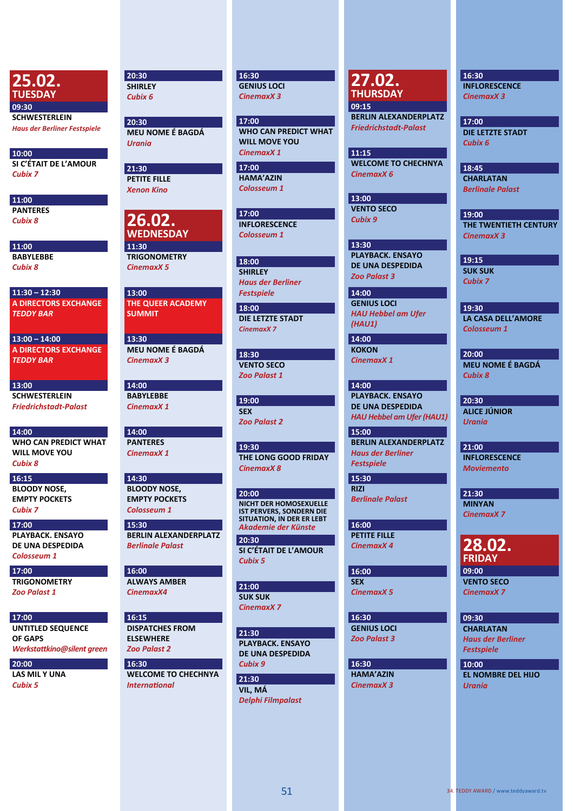**25.02. TUESDAY 09:30 SCHWESTERLEIN**  *Haus der Berliner Festspiele*

**10:00 SI C'ÉTAIT DE L'AMOUR**  *Cubix 7*

**11:00 PANTERES**  *Cubix 8*

**11:00 BABYLEBBE**  *Cubix 8*

**11:30 – 12:30 A DIRECTORS EXCHANGE** *TEDDY BAR*

**13:00 – 14:00 A DIRECTORS EXCHANGE** *TEDDY BAR*

**13:00 SCHWESTERLEIN**  *Friedrichstadt-Palast*

**14:00 WHO CAN PREDICT WHAT WILL MOVE YOU**  *Cubix 8*

**16:15 BLOODY NOSE, EMPTY POCKETS**  *Cubix 7*

**17:00 PLAYBACK. ENSAYO DE UNA DESPEDIDA**  *Colosseum 1*

**17:00 TRIGONOMETRY**  *Zoo Palast 1*

**17:00 UNTITLED SEQUENCE OF GAPS** *Werkstattkino@silent green*

**20:00 LAS MIL Y UNA**  *Cubix 5* 

**20:30 SHIRLEY**  *Cubix 6*

**20:30 MEU NOME É BAGDÁ**  *Urania*

**21:30 PETITE FILLE**  *Xenon Kino*

**26.02. WEDNESDAY 11:30 TRIGONOMETRY**  *CinemaxX 5*

**13:00 THE QUEER ACADEMY SUMMIT**

**13:30 MEU NOME É BAGDÁ**  *CinemaxX 3*

**14:00 BABYLEBBE**  *CinemaxX 1*

**14:00 PANTERES**  *CinemaxX 1*

**14:30 BLOODY NOSE, EMPTY POCKETS**  *Colosseum 1*

**BERLIN ALEXANDERPLATZ**  *Berlinale Palast*

**16:00 ALWAYS AMBER**  *CinemaxX4*

**16:15 DISPATCHES FROM ELSEWHERE**  *Zoo Palast 2*

**16:30 WELCOME TO CHECHNYA**  *International* 

**16:30 GENIUS LOCI**  *CinemaxX 3*

**17:00 WHO CAN PREDICT WHAT WILL MOVE YOU**  *CinemaxX 1*

**17:00 HAMA'AZIN** *Colosseum 1*

**17:00 INFLORESCENCE**  *Colosseum 1*

**18:00 SHIRLEY**  *Haus der Berliner Festspiele* **18:00 DIE LETZTE STADT**  *CinemaxX 7*

**18:30 VENTO SECO**  *Zoo Palast 1*

**19:00 SEX** *Zoo Palast 2*

**19:30 THE LONG GOOD FRIDAY**  *CinemaxX 8*

**20:30 20:00 NICHT DER HOMOSEXUELLE IST PERVERS, SONDERN DIE SITUATION, IN DER ER LEBT** *Akademie der Künste* **15:30** 

> **SI C'ÉTAIT DE L'AMOUR**  *Cubix 5*

**21:00 SUK SUK**  *CinemaxX 7*

**21:30 PLAYBACK. ENSAYO DE UNA DESPEDIDA**  *Cubix 9*

**21:30 VIL, MÁ**  *Delphi Filmpalast* **27.02. THURSDAY**

**09:15 BERLIN ALEXANDERPLATZ**  *Friedrichstadt-Palast*

**11:15 WELCOME TO CHECHNYA**  *CinemaxX 6*

**13:00 VENTO SECO**  *Cubix 9*

**13:30 PLAYBACK. ENSAYO DE UNA DESPEDIDA**  *Zoo Palast 3*

**14:00 GENIUS LOCI** *HAU Hebbel am Ufer (HAU1)*

**14:00 KOKON**  *CinemaxX 1*

**14:00 PLAYBACK. ENSAYO DE UNA DESPEDIDA**  *HAU Hebbel am Ufer (HAU1)*

**15:00 BERLIN ALEXANDERPLATZ** *Haus der Berliner Festspiele*

**15:30 RIZI**  *Berlinale Palast*

**16:00 PETITE FILLE**  *CinemaxX 4*

**16:00 SEX** *CinemaxX 5*

**16:30 GENIUS LOCI** *Zoo Palast 3*

**16:30 HAMA'AZIN** *CinemaxX 3*

#### **16:30**

**INFLORESCENCE**  *CinemaxX 3*

**17:00 DIE LETZTE STADT**  *Cubix 6*

**18:45 CHARLATAN**  *Berlinale Palast*

**19:00 THE TWENTIETH CENTURY**  *CinemaxX 3*

**19:15 SUK SUK**  *Cubix 7*

**19:30 LA CASA DELL'AMORE**  *Colosseum 1*

**20:00 MEU NOME É BAGDÁ**  *Cubix 8*

**20:30 ALICE JÚNIOR**  *Urania*

**21:00 INFLORESCENCE**  *Moviemento*

**21:30 MINYAN**  *CinemaxX 7*

**28.02. FRIDAY 09:00** 

**VENTO SECO**  *CinemaxX 7*

**09:30** 

**CHARLATAN**  *Haus der Berliner Festspiele*

**10:00 EL NOMBRE DEL HIJO**  *Urania*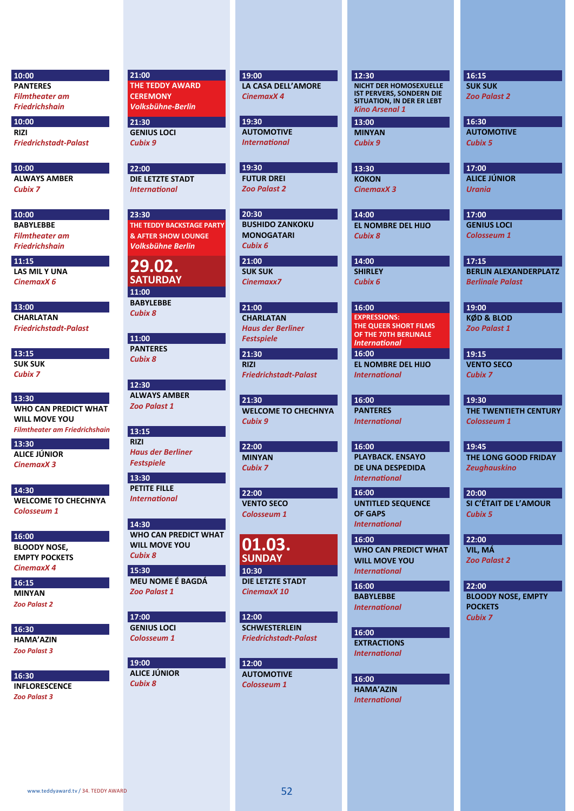**10:00 PANTERES**  *Filmtheater am Friedrichshain*

**10:00 RIZI** 

*Friedrichstadt-Palast*

**10:00 ALWAYS AMBER**  *Cubix 7*

**10:00 BABYLEBBE**  *Filmtheater am Friedrichshain*

**11:15 LAS MIL Y UNA**  *CinemaxX 6*

**13:00 CHARLATAN**  *Friedrichstadt-Palast*

**13:15 SUK SUK**  *Cubix 7*

**13:30 WHO CAN PREDICT WHAT WILL MOVE YOU** 

*Filmtheater am Friedrichshain*

**13:30 ALICE JÚNIOR**  *CinemaxX 3*

**14:30 WELCOME TO CHECHNYA**  *Colosseum 1*

**16:00 BLOODY NOSE, EMPTY POCKETS**  *CinemaxX 4*

**16:15 MINYAN**  *Zoo Palast 2*

**16:30 HAMA'AZIN** *Zoo Palast 3*

**16:30 INFLORESCENCE**  *Zoo Palast 3*

**21:00 THE TEDDY AWARD CEREMONY**  *Volksbühne-Berlin*

**21:30 GENIUS LOCI**  *Cubix 9*

**22:00 DIE LETZTE STADT**  *International*

**23:30 THE TEDDY BACKSTAGE PARTY & AFTER SHOW LOUNGE** *Volksbühne Berlin*

**29.02. SATURDAY 11:00 BABYLEBBE**

**11:00 PANTERES**  *Cubix 8*

*Cubix 8*

**12:30 ALWAYS AMBER**  *Zoo Palast 1*

**13:15 RIZI**  *Haus der Berliner Festspiele*

**13:30 PETITE FILLE**  *International*

**14:30 WHO CAN PREDICT WHAT WILL MOVE YOU**  *Cubix 8*

**15:30 MEU NOME É BAGDÁ**  *Zoo Palast 1*

**17:00 GENIUS LOCI**  *Colosseum 1*

**19:00 ALICE JÚNIOR**  *Cubix 8*

**19:00 LA CASA DELL'AMORE**  *CinemaxX 4*

**19:30 AUTOMOTIVE**  *International* 

**19:30 FUTUR DREI**  *Zoo Palast 2*

**20:30 BUSHIDO ZANKOKU MONOGATARI**  *Cubix 6*

**21:00 SUK SUK**  *Cinemaxx7*

**21:00 CHARLATAN**  *Haus der Berliner Festspiele*

**21:30 RIZI**  *Friedrichstadt-Palast*

**21:30 WELCOME TO CHECHNYA**  *Cubix 9*

**22:00 MINYAN**  *Cubix 7*

**22:00 VENTO SECO**  *Colosseum 1*

**01.03. SUNDAY 10:30** 

**DIE LETZTE STADT**  *CinemaxX 10*

**12:00 SCHWESTERLEIN**  *Friedrichstadt-Palast*

**12:00 AUTOMOTIVE**  *Colosseum 1*

#### **12:30**

**NICHT DER HOMOSEXUELLE IST PERVERS, SONDERN DIE SITUATION, IN DER ER LEBT** *Kino Arsenal 1* **13:00** 

**MINYAN**  *Cubix 9*

**13:30 KOKON**  *CinemaxX 3*

**14:00 EL NOMBRE DEL HIJO**  *Cubix 8*

**14:00 SHIRLEY**  *Cubix 6*

**16:00 EL NOMBRE DEL HIJO 16:00 EXPRESSIONS: THE QUEER SHORT FILMS OF THE 70TH BERLINALE**  *International*

*International* 

**16:00 PANTERES**  *International*

**16:00 PLAYBACK. ENSAYO DE UNA DESPEDIDA**  *International*

**16:00 UNTITLED SEQUENCE OF GAPS**  *International*

**16:00 WHO CAN PREDICT WHAT WILL MOVE YOU**  *International* 

**16:00 BABYLEBBE**  *International*

**16:00 EXTRACTIONS**  *International*

**16:00 HAMA'AZIN** *International*

#### **16:15**

**SUK SUK**  *Zoo Palast 2*

**16:30 AUTOMOTIVE**  *Cubix 5*

**17:00 ALICE JÚNIOR**  *Urania*

**17:00 GENIUS LOCI**  *Colosseum 1*

**17:15 BERLIN ALEXANDERPLATZ**  *Berlinale Palast*

**19:00 KØD & BLOD**  *Zoo Palast 1*

**19:15 VENTO SECO**  *Cubix 7*

**19:30 THE TWENTIETH CENTURY**  *Colosseum 1*

**19:45 THE LONG GOOD FRIDAY**  *Zeughauskino*

**20:00 SI C'ÉTAIT DE L'AMOUR**  *Cubix 5*

**22:00 VIL, MÁ**  *Zoo Palast 2*

**22:00 BLOODY NOSE, EMPTY POCKETS**  *Cubix 7*